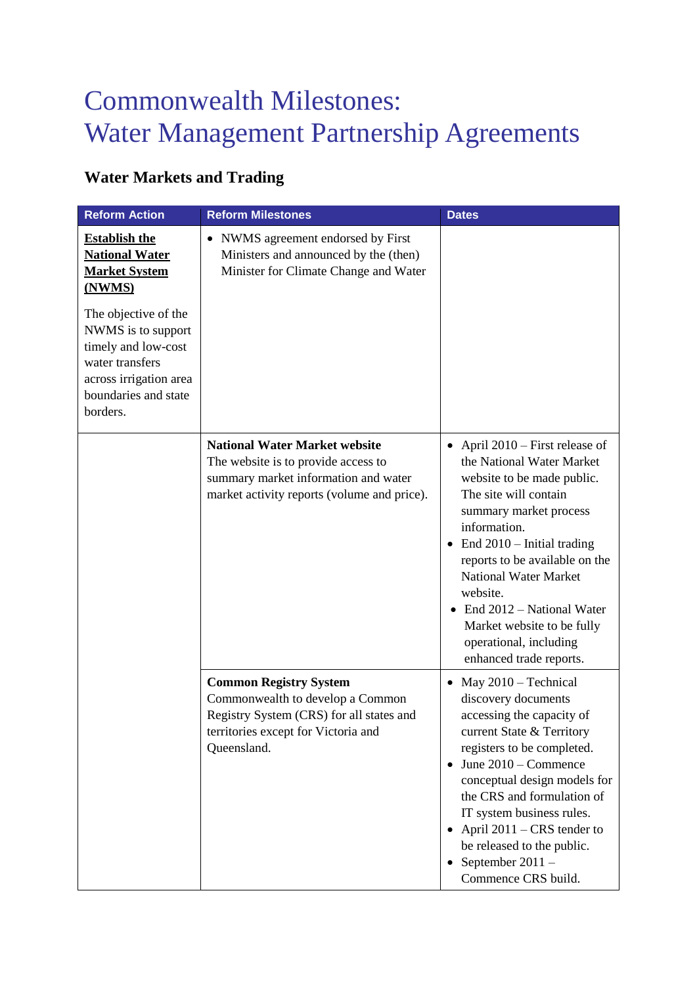## Commonwealth Milestones: Water Management Partnership Agreements

## **Water Markets and Trading**

| <b>Reform Action</b>                                                                                                                               | <b>Reform Milestones</b>                                                                                                                                            | <b>Dates</b>                                                                                                                                                                                                                                                                                                                                                                                            |
|----------------------------------------------------------------------------------------------------------------------------------------------------|---------------------------------------------------------------------------------------------------------------------------------------------------------------------|---------------------------------------------------------------------------------------------------------------------------------------------------------------------------------------------------------------------------------------------------------------------------------------------------------------------------------------------------------------------------------------------------------|
| <b>Establish the</b><br><b>National Water</b><br><b>Market System</b><br>(NWMS)                                                                    | • NWMS agreement endorsed by First<br>Ministers and announced by the (then)<br>Minister for Climate Change and Water                                                |                                                                                                                                                                                                                                                                                                                                                                                                         |
| The objective of the<br>NWMS is to support<br>timely and low-cost<br>water transfers<br>across irrigation area<br>boundaries and state<br>borders. |                                                                                                                                                                     |                                                                                                                                                                                                                                                                                                                                                                                                         |
|                                                                                                                                                    | <b>National Water Market website</b><br>The website is to provide access to<br>summary market information and water<br>market activity reports (volume and price).  | • April $2010$ – First release of<br>the National Water Market<br>website to be made public.<br>The site will contain<br>summary market process<br>information.<br>End 2010 - Initial trading<br>reports to be available on the<br><b>National Water Market</b><br>website.<br>End 2012 – National Water<br>Market website to be fully<br>operational, including<br>enhanced trade reports.             |
|                                                                                                                                                    | <b>Common Registry System</b><br>Commonwealth to develop a Common<br>Registry System (CRS) for all states and<br>territories except for Victoria and<br>Queensland. | May 2010 – Technical<br>$\bullet$<br>discovery documents<br>accessing the capacity of<br>current State & Territory<br>registers to be completed.<br>$\bullet$ June 2010 – Commence<br>conceptual design models for<br>the CRS and formulation of<br>IT system business rules.<br>• April $2011 - CRS$ tender to<br>be released to the public.<br>September $2011 -$<br>$\bullet$<br>Commence CRS build. |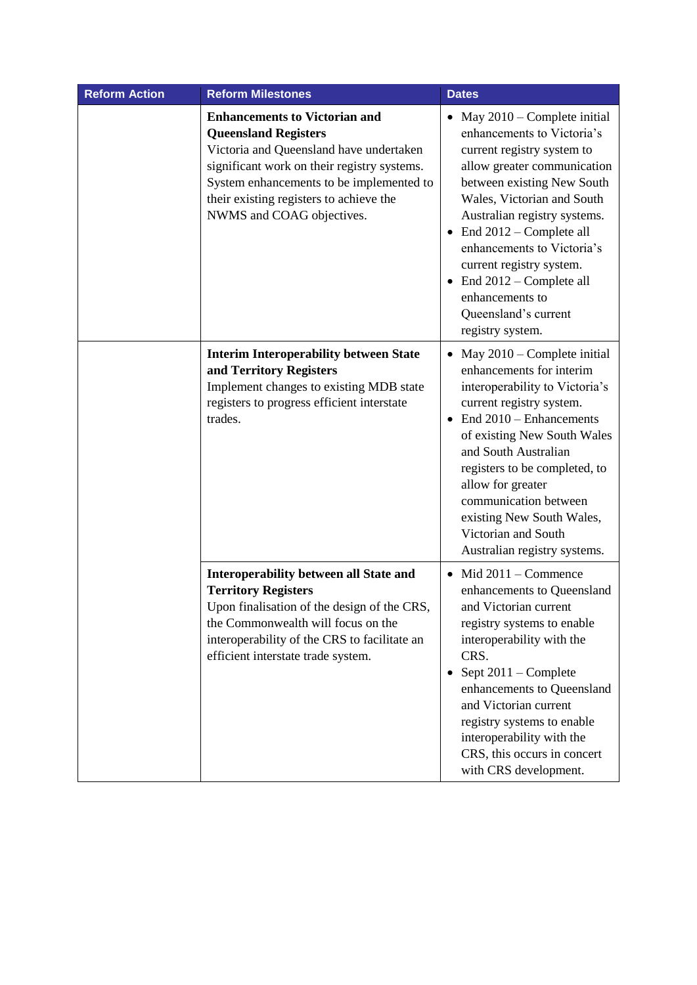| <b>Reform Action</b> | <b>Reform Milestones</b>                                                                                                                                                                                                                                                          | <b>Dates</b>                                                                                                                                                                                                                                                                                                                                                                                                    |
|----------------------|-----------------------------------------------------------------------------------------------------------------------------------------------------------------------------------------------------------------------------------------------------------------------------------|-----------------------------------------------------------------------------------------------------------------------------------------------------------------------------------------------------------------------------------------------------------------------------------------------------------------------------------------------------------------------------------------------------------------|
|                      | <b>Enhancements to Victorian and</b><br><b>Queensland Registers</b><br>Victoria and Queensland have undertaken<br>significant work on their registry systems.<br>System enhancements to be implemented to<br>their existing registers to achieve the<br>NWMS and COAG objectives. | • May $2010$ – Complete initial<br>enhancements to Victoria's<br>current registry system to<br>allow greater communication<br>between existing New South<br>Wales, Victorian and South<br>Australian registry systems.<br>End 2012 – Complete all<br>enhancements to Victoria's<br>current registry system.<br>$\bullet$ End 2012 – Complete all<br>enhancements to<br>Queensland's current<br>registry system. |
|                      | <b>Interim Interoperability between State</b><br>and Territory Registers<br>Implement changes to existing MDB state<br>registers to progress efficient interstate<br>trades.                                                                                                      | May $2010$ – Complete initial<br>$\bullet$<br>enhancements for interim<br>interoperability to Victoria's<br>current registry system.<br>End 2010 – Enhancements<br>of existing New South Wales<br>and South Australian<br>registers to be completed, to<br>allow for greater<br>communication between<br>existing New South Wales,<br>Victorian and South<br>Australian registry systems.                       |
|                      | Interoperability between all State and<br><b>Territory Registers</b><br>Upon finalisation of the design of the CRS,<br>the Commonwealth will focus on the<br>interoperability of the CRS to facilitate an<br>efficient interstate trade system.                                   | $\bullet$ Mid 2011 – Commence<br>enhancements to Queensland<br>and Victorian current<br>registry systems to enable<br>interoperability with the<br>CRS.<br>Sept $2011$ – Complete<br>enhancements to Queensland<br>and Victorian current<br>registry systems to enable<br>interoperability with the<br>CRS, this occurs in concert<br>with CRS development.                                                     |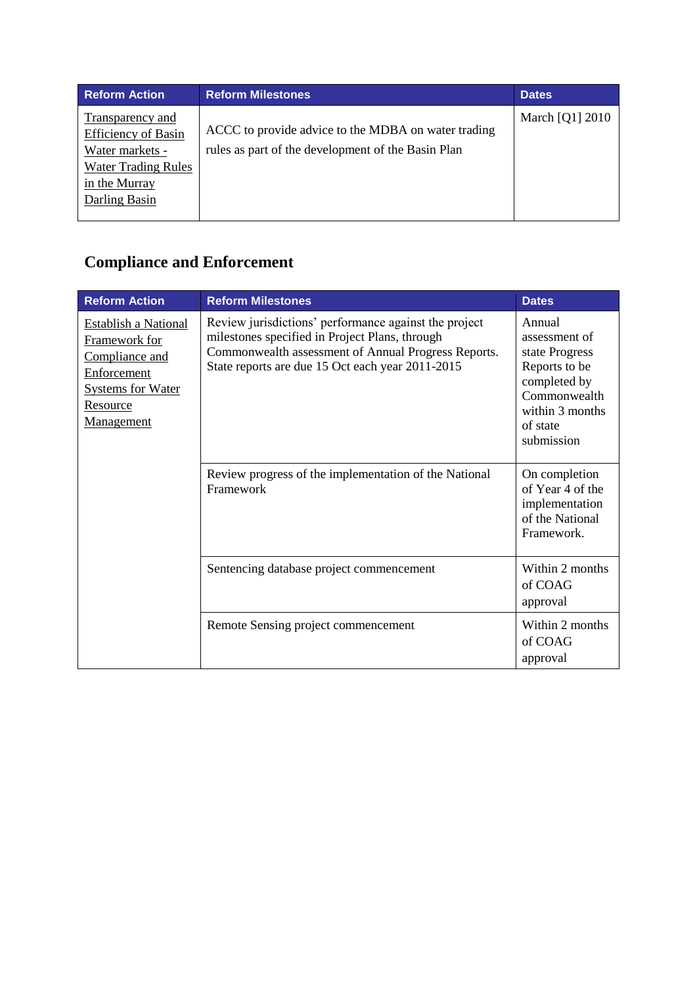| <b>Reform Action</b>                                                                                                              | <b>Reform Milestones</b>                                                                                  | <b>Dates</b>    |
|-----------------------------------------------------------------------------------------------------------------------------------|-----------------------------------------------------------------------------------------------------------|-----------------|
| Transparency and<br><b>Efficiency of Basin</b><br>Water markets -<br><b>Water Trading Rules</b><br>in the Murray<br>Darling Basin | ACCC to provide advice to the MDBA on water trading<br>rules as part of the development of the Basin Plan | March [Q1] 2010 |

## **Compliance and Enforcement**

| <b>Reform Action</b>                                                                                                                       | <b>Reform Milestones</b>                                                                                                                                                                                           | <b>Dates</b>                                                                                                                            |
|--------------------------------------------------------------------------------------------------------------------------------------------|--------------------------------------------------------------------------------------------------------------------------------------------------------------------------------------------------------------------|-----------------------------------------------------------------------------------------------------------------------------------------|
| <b>Establish a National</b><br>Framework for<br>Compliance and<br>Enforcement<br><b>Systems for Water</b><br>Resource<br><u>Management</u> | Review jurisdictions' performance against the project<br>milestones specified in Project Plans, through<br>Commonwealth assessment of Annual Progress Reports.<br>State reports are due 15 Oct each year 2011-2015 | Annual<br>assessment of<br>state Progress<br>Reports to be<br>completed by<br>Commonwealth<br>within 3 months<br>of state<br>submission |
|                                                                                                                                            | Review progress of the implementation of the National<br>Framework                                                                                                                                                 | On completion<br>of Year 4 of the<br>implementation<br>of the National<br>Framework.                                                    |
|                                                                                                                                            | Sentencing database project commencement                                                                                                                                                                           | Within 2 months<br>of COAG<br>approval                                                                                                  |
|                                                                                                                                            | Remote Sensing project commencement                                                                                                                                                                                | Within 2 months<br>of COAG<br>approval                                                                                                  |